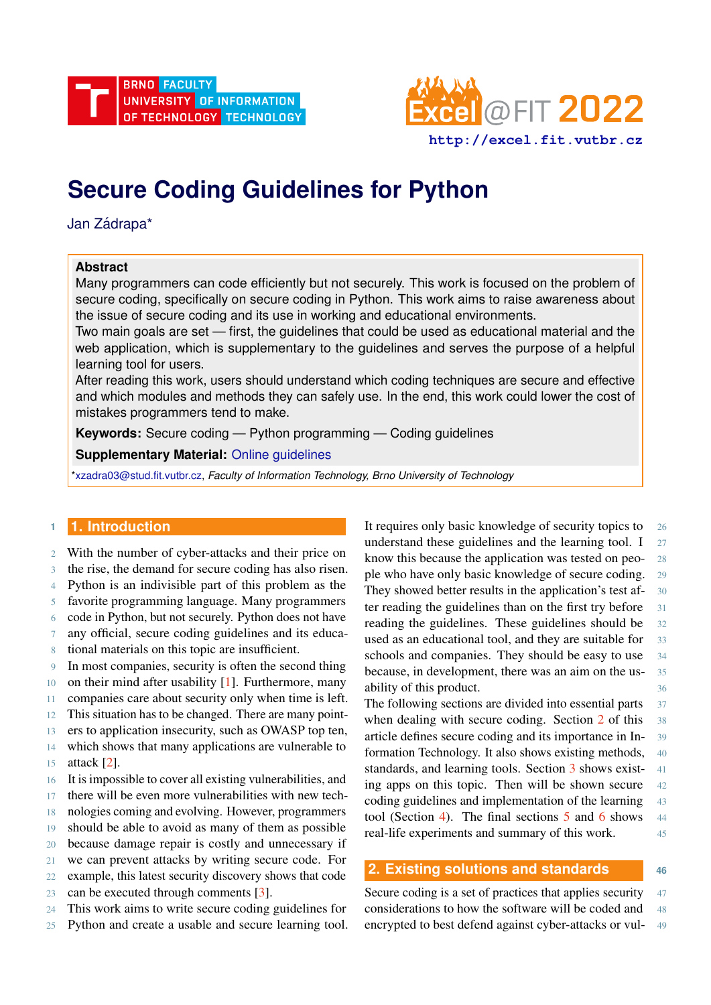



# **Secure Coding Guidelines for Python**

Jan Zádrapa\*

## **Abstract**

Many programmers can code efficiently but not securely. This work is focused on the problem of secure coding, specifically on secure coding in Python. This work aims to raise awareness about the issue of secure coding and its use in working and educational environments.

Two main goals are set — first, the guidelines that could be used as educational material and the web application, which is supplementary to the guidelines and serves the purpose of a helpful learning tool for users.

After reading this work, users should understand which coding techniques are secure and effective and which modules and methods they can safely use. In the end, this work could lower the cost of mistakes programmers tend to make.

**Keywords:** Secure coding — Python programming — Coding guidelines

**Supplementary Material:** [Online guidelines](https://secopy.herokuapp.com/)

[\\*xzadra03@stud.fit.vutbr.cz,](mailto:xzadra03@stud.fit.vutbr.cz) *Faculty of Information Technology, Brno University of Technology*

## **<sup>1</sup> 1. Introduction**

- 2 With the number of cyber-attacks and their price on
- 3 the rise, the demand for secure coding has also risen.
- 4 Python is an indivisible part of this problem as the
- 5 favorite programming language. Many programmers
- 6 code in Python, but not securely. Python does not have
- 7 any official, secure coding guidelines and its educa-
- 8 tional materials on this topic are insufficient.
- 9 In most companies, security is often the second thing
- 10 on their mind after usability [\[1\]](#page-4-0). Furthermore, many
- 11 companies care about security only when time is left.
- 12 This situation has to be changed. There are many point-
- 13 ers to application insecurity, such as OWASP top ten,
- 14 which shows that many applications are vulnerable to
- 15 attack [\[2\]](#page-4-1).
- 16 It is impossible to cover all existing vulnerabilities, and
- 17 there will be even more vulnerabilities with new tech-
- 18 nologies coming and evolving. However, programmers
- 19 should be able to avoid as many of them as possible
- 20 because damage repair is costly and unnecessary if
- 21 we can prevent attacks by writing secure code. For
- 22 example, this latest security discovery shows that code
- 23 can be executed through comments [\[3\]](#page-5-0).
- 24 This work aims to write secure coding guidelines for
- 25 Python and create a usable and secure learning tool.

It requires only basic knowledge of security topics to 26 understand these guidelines and the learning tool.  $I_{27}$ know this because the application was tested on peo- 28 ple who have only basic knowledge of secure coding. 29 They showed better results in the application's test af- 30 ter reading the guidelines than on the first try before 31 reading the guidelines. These guidelines should be 32 used as an educational tool, and they are suitable for 33 schools and companies. They should be easy to use 34 because, in development, there was an aim on the us- 35 ability of this product. 36

The following sections are divided into essential parts 37 when dealing with secure coding. Section [2](#page-0-0) of this 38 article defines secure coding and its importance in In- 39 formation Technology. It also shows existing methods, 40 standards, and learning tools. Section [3](#page-1-0) shows exist- 41 ing apps on this topic. Then will be shown secure 42 coding guidelines and implementation of the learning 43 tool (Section [4\)](#page-2-0). The final sections  $5$  and  $6$  shows 44 real-life experiments and summary of this work. 45

## <span id="page-0-0"></span>**2. Existing solutions and standards <sup>46</sup>**

Secure coding is a set of practices that applies security 47 considerations to how the software will be coded and 48 encrypted to best defend against cyber-attacks or vul- 49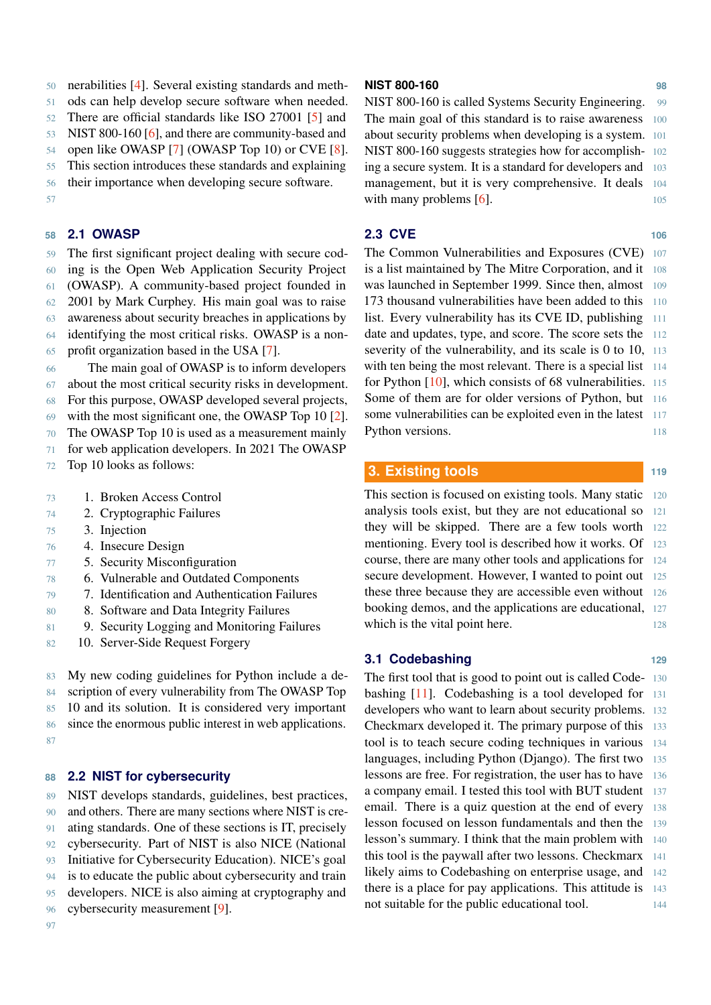50 nerabilities [\[4\]](#page-5-1). Several existing standards and meth-

51 ods can help develop secure software when needed.

52 There are official standards like ISO 27001 [\[5\]](#page-5-2) and

53 NIST 800-160 [\[6\]](#page-5-3), and there are community-based and

54 open like OWASP [\[7\]](#page-5-4) (OWASP Top 10) or CVE [\[8\]](#page-5-5).

55 This section introduces these standards and explaining

56 their importance when developing secure software.

57

## **58 2.1 OWASP**

59 The first significant project dealing with secure cod-60 ing is the Open Web Application Security Project 61 (OWASP). A community-based project founded in

62 2001 by Mark Curphey. His main goal was to raise

63 awareness about security breaches in applications by

- 64 identifying the most critical risks. OWASP is a non-
- 65 profit organization based in the USA [\[7\]](#page-5-4).

66 The main goal of OWASP is to inform developers 67 about the most critical security risks in development.

68 For this purpose, OWASP developed several projects,

69 with the most significant one, the OWASP Top 10 [\[2\]](#page-4-1).

70 The OWASP Top 10 is used as a measurement mainly

71 for web application developers. In 2021 The OWASP

72 Top 10 looks as follows:

- 73 1. Broken Access Control
- 74 2. Cryptographic Failures
- 75 3. Injection
- 76 4. Insecure Design
- 77 5. Security Misconfiguration
- 78 6. Vulnerable and Outdated Components
- 79 7. Identification and Authentication Failures
- 80 8. Software and Data Integrity Failures
- 81 9. Security Logging and Monitoring Failures
- 82 10. Server-Side Request Forgery

 My new coding guidelines for Python include a de- scription of every vulnerability from The OWASP Top 10 and its solution. It is considered very important since the enormous public interest in web applications. 87

## **88 2.2 NIST for cybersecurity**

 NIST develops standards, guidelines, best practices, and others. There are many sections where NIST is cre- ating standards. One of these sections is IT, precisely cybersecurity. Part of NIST is also NICE (National Initiative for Cybersecurity Education). NICE's goal is to educate the public about cybersecurity and train developers. NICE is also aiming at cryptography and cybersecurity measurement [\[9\]](#page-5-6).

### **NIST 800-160 98**

NIST 800-160 is called Systems Security Engineering. 99 The main goal of this standard is to raise awareness 100 about security problems when developing is a system. 101 NIST 800-160 suggests strategies how for accomplish- 102 ing a secure system. It is a standard for developers and 103 management, but it is very comprehensive. It deals 104 with many problems  $[6]$ . 105

## **2.3 CVE 106**

The Common Vulnerabilities and Exposures (CVE) 107 is a list maintained by The Mitre Corporation, and it 108 was launched in September 1999. Since then, almost 109 173 thousand vulnerabilities have been added to this 110 list. Every vulnerability has its CVE ID, publishing 111 date and updates, type, and score. The score sets the 112 severity of the vulnerability, and its scale is 0 to 10, 113 with ten being the most relevant. There is a special list 114 for Python [\[10\]](#page-5-7), which consists of 68 vulnerabilities. 115 Some of them are for older versions of Python, but 116 some vulnerabilities can be exploited even in the latest 117 Python versions. 118

## <span id="page-1-0"></span>**3. Existing tools <sup>119</sup>**

This section is focused on existing tools. Many static 120 analysis tools exist, but they are not educational so 121 they will be skipped. There are a few tools worth 122 mentioning. Every tool is described how it works. Of 123 course, there are many other tools and applications for 124 secure development. However, I wanted to point out 125 these three because they are accessible even without 126 booking demos, and the applications are educational, 127 which is the vital point here. 128

## **3.1 Codebashing 129**

The first tool that is good to point out is called Code- 130 bashing  $[11]$ . Codebashing is a tool developed for developers who want to learn about security problems. 132 Checkmarx developed it. The primary purpose of this 133 tool is to teach secure coding techniques in various 134 languages, including Python (Django). The first two 135 lessons are free. For registration, the user has to have 136 a company email. I tested this tool with BUT student 137 email. There is a quiz question at the end of every 138 lesson focused on lesson fundamentals and then the 139 lesson's summary. I think that the main problem with 140 this tool is the paywall after two lessons. Checkmarx 141 likely aims to Codebashing on enterprise usage, and 142 there is a place for pay applications. This attitude is 143 not suitable for the public educational tool.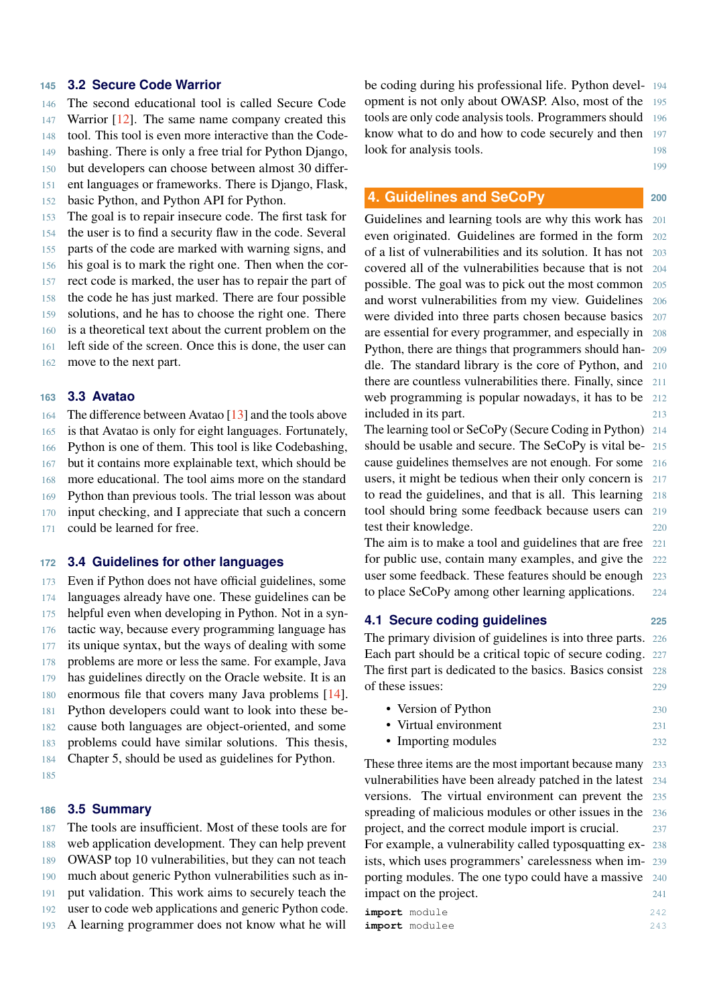### **145 3.2 Secure Code Warrior**

 The second educational tool is called Secure Code 147 Warrior [\[12\]](#page-5-9). The same name company created this tool. This tool is even more interactive than the Code- bashing. There is only a free trial for Python Django, but developers can choose between almost 30 differ-

- 151 ent languages or frameworks. There is Django, Flask,
- 152 basic Python, and Python API for Python.

153 The goal is to repair insecure code. The first task for

154 the user is to find a security flaw in the code. Several

155 parts of the code are marked with warning signs, and

156 his goal is to mark the right one. Then when the cor-

- 157 rect code is marked, the user has to repair the part of
- 158 the code he has just marked. There are four possible
- 159 solutions, and he has to choose the right one. There
- 160 is a theoretical text about the current problem on the
- 161 left side of the screen. Once this is done, the user can
- 162 move to the next part.

#### **163 3.3 Avatao**

164 The difference between Avatao [\[13\]](#page-5-10) and the tools above 165 is that Avatao is only for eight languages. Fortunately,

166 Python is one of them. This tool is like Codebashing,

167 but it contains more explainable text, which should be

168 more educational. The tool aims more on the standard

169 Python than previous tools. The trial lesson was about

- 170 input checking, and I appreciate that such a concern
- 171 could be learned for free.

### **172 3.4 Guidelines for other languages**

 Even if Python does not have official guidelines, some languages already have one. These guidelines can be helpful even when developing in Python. Not in a syn- tactic way, because every programming language has its unique syntax, but the ways of dealing with some problems are more or less the same. For example, Java has guidelines directly on the Oracle website. It is an enormous file that covers many Java problems [\[14\]](#page-5-11). Python developers could want to look into these be- cause both languages are object-oriented, and some problems could have similar solutions. This thesis, Chapter 5, should be used as guidelines for Python.

185

#### **186 3.5 Summary**

 The tools are insufficient. Most of these tools are for web application development. They can help prevent OWASP top 10 vulnerabilities, but they can not teach much about generic Python vulnerabilities such as in- put validation. This work aims to securely teach the user to code web applications and generic Python code. A learning programmer does not know what he will

be coding during his professional life. Python devel- 194 opment is not only about OWASP. Also, most of the 195 tools are only code analysis tools. Programmers should 196 know what to do and how to code securely and then 197 look for analysis tools. 198

199

### <span id="page-2-0"></span>**4. Guidelines and SeCoPy 200**

Guidelines and learning tools are why this work has 201 even originated. Guidelines are formed in the form 202 of a list of vulnerabilities and its solution. It has not 203 covered all of the vulnerabilities because that is not 204 possible. The goal was to pick out the most common 205 and worst vulnerabilities from my view. Guidelines 206 were divided into three parts chosen because basics 207 are essential for every programmer, and especially in 208 Python, there are things that programmers should han- 209 dle. The standard library is the core of Python, and 210 there are countless vulnerabilities there. Finally, since 211 web programming is popular nowadays, it has to be 212 included in its part. 213

The learning tool or SeCoPy (Secure Coding in Python) 214 should be usable and secure. The SeCoPy is vital be- 215 cause guidelines themselves are not enough. For some 216 users, it might be tedious when their only concern is 217 to read the guidelines, and that is all. This learning 218 tool should bring some feedback because users can 219 test their knowledge. 220

The aim is to make a tool and guidelines that are free 221 for public use, contain many examples, and give the 222 user some feedback. These features should be enough 223 to place SeCoPy among other learning applications. 224

#### **4.1 Secure coding guidelines 225**

The primary division of guidelines is into three parts. 226 Each part should be a critical topic of secure coding. 227 The first part is dedicated to the basics. Basics consist 228 of these issues: 229

- Version of Python 230
- Virtual environment 231
- Importing modules 232

These three items are the most important because many 233 vulnerabilities have been already patched in the latest 234 versions. The virtual environment can prevent the 235 spreading of malicious modules or other issues in the 236 project, and the correct module import is crucial. 237 For example, a vulnerability called typosquatting ex- 238 ists, which uses programmers' carelessness when im- 239 porting modules. The one typo could have a massive 240 impact on the project. 241 **import** module 242 **import** modulee 243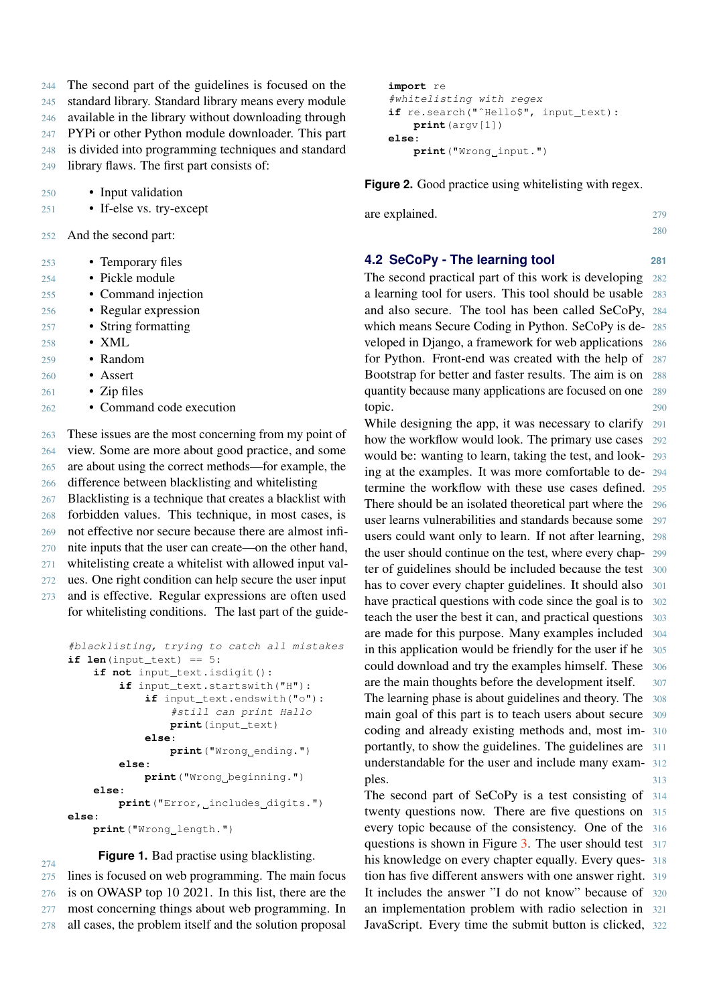The second part of the guidelines is focused on the standard library. Standard library means every module available in the library without downloading through PYPi or other Python module downloader. This part is divided into programming techniques and standard library flaws. The first part consists of:

250 • Input validation

251 • If-else vs. try-except

- 252 And the second part:
- 253 Temporary files
- 254 Pickle module
- 255 Command injection
- 256 Regular expression
- 257 String formatting
- 258 XML
- 259 Random
- 260 Assert
- $261$  Zip files
- 262 Command code execution

 These issues are the most concerning from my point of view. Some are more about good practice, and some are about using the correct methods—for example, the difference between blacklisting and whitelisting Blacklisting is a technique that creates a blacklist with forbidden values. This technique, in most cases, is

269 not effective nor secure because there are almost infi-270 nite inputs that the user can create—on the other hand,

- 271 whitelisting create a whitelist with allowed input val-
- 272 ues. One right condition can help secure the user input
- 273 and is effective. Regular expressions are often used for whitelisting conditions. The last part of the guide-

```
#blacklisting, trying to catch all mistakes
if len(input_test) == 5:if not input_text.isdigit():
        if input_text.startswith("H"):
            if input_text.endswith("o"):
                 #still can print Hallo
                print(input_text)
            else:
                 print("Wrong ending.")
        else:
            print("Wrong beginning.")
    else:
        print<sup>("Error, includes digits.")</sup>
else:
    print("Wrong_length.")
```
#### **Figure 1.** Bad practise using blacklisting.

274 lines is focused on web programming. The main focus is on OWASP top 10 2021. In this list, there are the most concerning things about web programming. In all cases, the problem itself and the solution proposal

```
import re
#whitelisting with regex
if re.search("ˆHello$", input_text):
    print(argv[1])
else:
   print("Wrong input.")
```
**Figure 2.** Good practice using whitelisting with regex.

are explained. 279

#### **4.2 SeCoPy - The learning tool 281**

280

The second practical part of this work is developing 282 a learning tool for users. This tool should be usable 283 and also secure. The tool has been called SeCoPy, 284 which means Secure Coding in Python. SeCoPy is de- 285 veloped in Django, a framework for web applications 286 for Python. Front-end was created with the help of 287 Bootstrap for better and faster results. The aim is on 288 quantity because many applications are focused on one 289 topic. 290

While designing the app, it was necessary to clarify 291 how the workflow would look. The primary use cases 292 would be: wanting to learn, taking the test, and look- 293 ing at the examples. It was more comfortable to de- 294 termine the workflow with these use cases defined. 295 There should be an isolated theoretical part where the 296 user learns vulnerabilities and standards because some 297 users could want only to learn. If not after learning, 298 the user should continue on the test, where every chap- 299 ter of guidelines should be included because the test 300 has to cover every chapter guidelines. It should also 301 have practical questions with code since the goal is to 302 teach the user the best it can, and practical questions 303 are made for this purpose. Many examples included 304 in this application would be friendly for the user if he 305 could download and try the examples himself. These 306 are the main thoughts before the development itself. 307 The learning phase is about guidelines and theory. The 308 main goal of this part is to teach users about secure 309 coding and already existing methods and, most im- 310 portantly, to show the guidelines. The guidelines are 311 understandable for the user and include many exam- 312 ples. 313

The second part of SeCoPy is a test consisting of 314 twenty questions now. There are five questions on 315 every topic because of the consistency. One of the 316 questions is shown in Figure [3.](#page-4-4) The user should test 317 his knowledge on every chapter equally. Every ques- 318 tion has five different answers with one answer right. 319 It includes the answer "I do not know" because of 320 an implementation problem with radio selection in 321 JavaScript. Every time the submit button is clicked, 322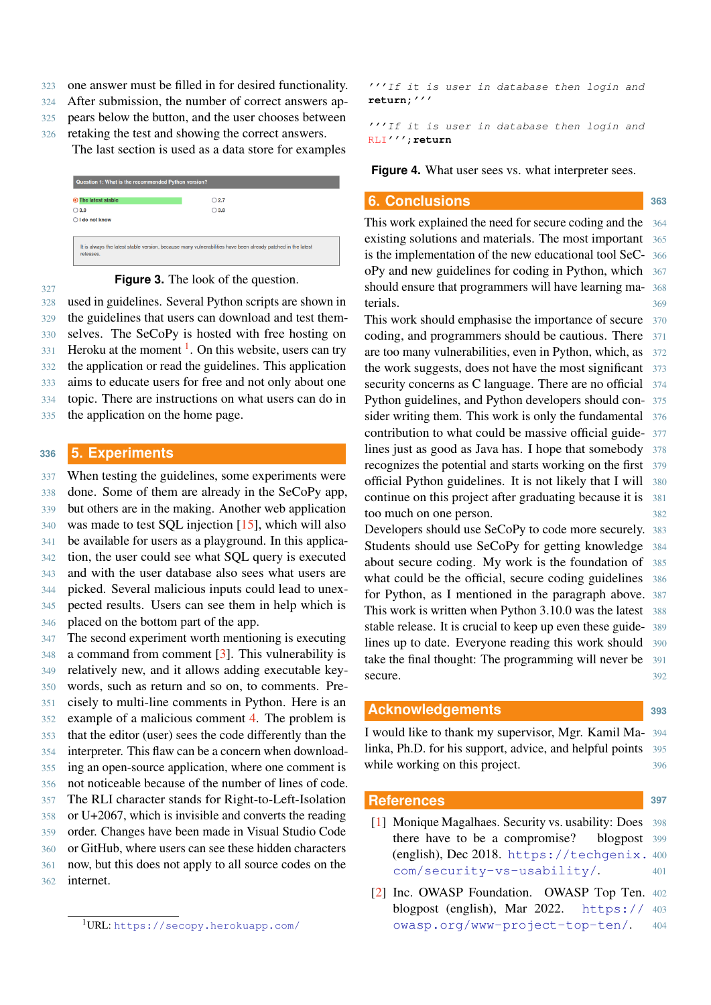- 323 one answer must be filled in for desired functionality.
- 324 After submission, the number of correct answers ap-
- 325 pears below the button, and the user chooses between
- 326 retaking the test and showing the correct answers.

The last section is used as a data store for examples

<span id="page-4-4"></span>

| Question 1: What is the recommended Python version?                                                                       |                |
|---------------------------------------------------------------------------------------------------------------------------|----------------|
| The latest stable<br>◉                                                                                                    | $\bigcirc$ 2.7 |
| $\bigcirc$ 3.0                                                                                                            | $\bigcirc$ 3.8 |
| $\bigcap$ I do not know                                                                                                   |                |
|                                                                                                                           |                |
| It is always the latest stable version, because many vulnerabilities have been already patched in the latest<br>releases. |                |

#### 327

**Figure 3.** The look of the question.

328 used in guidelines. Several Python scripts are shown in

 the guidelines that users can download and test them- selves. The SeCoPy is hosted with free hosting on  $331$  Heroku at the moment <sup>1</sup>. On this website, users can try the application or read the guidelines. This application aims to educate users for free and not only about one topic. There are instructions on what users can do in

335 the application on the home page.

#### <span id="page-4-2"></span>**<sup>336</sup> 5. Experiments**

 When testing the guidelines, some experiments were done. Some of them are already in the SeCoPy app, but others are in the making. Another web application was made to test SQL injection [\[15\]](#page-5-12), which will also be available for users as a playground. In this applica- tion, the user could see what SQL query is executed and with the user database also sees what users are picked. Several malicious inputs could lead to unex- pected results. Users can see them in help which is placed on the bottom part of the app.

 The second experiment worth mentioning is executing a command from comment [\[3\]](#page-5-0). This vulnerability is relatively new, and it allows adding executable key- words, such as return and so on, to comments. Pre- cisely to multi-line comments in Python. Here is an example of a malicious comment [4.](#page-4-6) The problem is that the editor (user) sees the code differently than the interpreter. This flaw can be a concern when download- ing an open-source application, where one comment is not noticeable because of the number of lines of code. The RLI character stands for Right-to-Left-Isolation or U+2067, which is invisible and converts the reading order. Changes have been made in Visual Studio Code or GitHub, where users can see these hidden characters now, but this does not apply to all source codes on the internet.

<span id="page-4-6"></span>'''If it is user in database then login and **return;**'''

'''If it is user in database then login and RLI''';**return**

**Figure 4.** What user sees vs. what interpreter sees.

#### **6. Conclusions 1999 1999 1999 1999 1999 1999**

This work explained the need for secure coding and the 364 existing solutions and materials. The most important 365 is the implementation of the new educational tool SeC- 366 oPy and new guidelines for coding in Python, which 367 should ensure that programmers will have learning ma- 368 terials. 369

This work should emphasise the importance of secure 370 coding, and programmers should be cautious. There 371 are too many vulnerabilities, even in Python, which, as 372 the work suggests, does not have the most significant 373 security concerns as C language. There are no official 374 Python guidelines, and Python developers should con- 375 sider writing them. This work is only the fundamental 376 contribution to what could be massive official guide- 377 lines just as good as Java has. I hope that somebody 378 recognizes the potential and starts working on the first 379 official Python guidelines. It is not likely that I will 380 continue on this project after graduating because it is 381 too much on one person. 382

Developers should use SeCoPy to code more securely. 383 Students should use SeCoPy for getting knowledge 384 about secure coding. My work is the foundation of 385 what could be the official, secure coding guidelines 386 for Python, as I mentioned in the paragraph above. 387 This work is written when Python 3.10.0 was the latest 388 stable release. It is crucial to keep up even these guide- 389 lines up to date. Everyone reading this work should 390 take the final thought: The programming will never be 391 secure. 392

#### **Acknowledgements <sup>393</sup>**

I would like to thank my supervisor, Mgr. Kamil Ma- 394 linka, Ph.D. for his support, advice, and helpful points 395 while working on this project.

#### **References <sup>397</sup>**

- <span id="page-4-0"></span>[1] Monique Magalhaes. Security vs. usability: Does 398 there have to be a compromise? blogpost 399 (english), Dec 2018. [https://techgenix.](https://techgenix.com/security-vs-usability/) <sup>400</sup> [com/security-vs-usability/](https://techgenix.com/security-vs-usability/). <sup>401</sup>
- <span id="page-4-1"></span>[2] Inc. OWASP Foundation. OWASP Top Ten. 402 blogpost (english), Mar 2022. [https://](https://owasp.org/www-project-top-ten/) 403 [owasp.org/www-project-top-ten/](https://owasp.org/www-project-top-ten/). <sup>404</sup>

<span id="page-4-5"></span><span id="page-4-3"></span><sup>1</sup>URL: <https://secopy.herokuapp.com/>